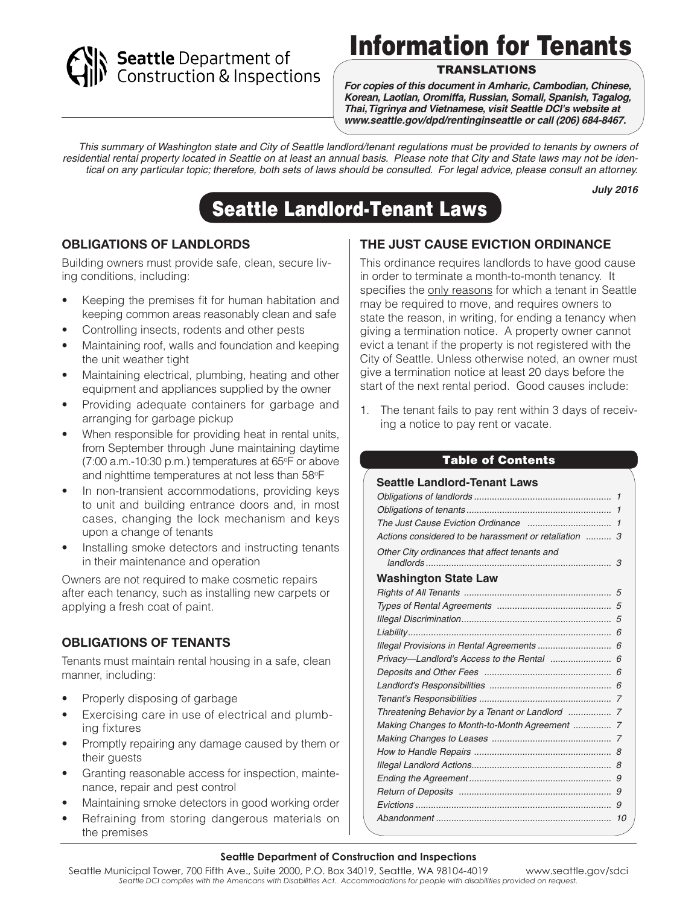# Seattle Department of<br>Construction & Inspections

# Information for Tenants

#### TRANSLATIONS

*For copies of this document in Amharic, Cambodian, Chinese, Korean, Laotian, Oromiffa, Russian, Somali, Spanish, Tagalog, Thai, Tigrinya and Vietnamese, visit Seattle DCI's website at www.seattle.gov/dpd/rentinginseattle or call (206) 684-8467.*

*This summary of Washington state and City of Seattle landlord/tenant regulations must be provided to tenants by owners of residential rental property located in Seattle on at least an annual basis. Please note that City and State laws may not be identical on any particular topic; therefore, both sets of laws should be consulted. For legal advice, please consult an attorney.*

*July 2016*

# Seattle Landlord-Tenant Laws

#### **OBLIGATIONS OF LANDLORDS**

Building owners must provide safe, clean, secure living conditions, including:

- Keeping the premises fit for human habitation and keeping common areas reasonably clean and safe
- Controlling insects, rodents and other pests
- Maintaining roof, walls and foundation and keeping the unit weather tight
- Maintaining electrical, plumbing, heating and other equipment and appliances supplied by the owner
- Providing adequate containers for garbage and arranging for garbage pickup
- When responsible for providing heat in rental units, from September through June maintaining daytime (7:00 a.m.-10:30 p.m.) temperatures at 65°F or above and nighttime temperatures at not less than 58°F
- In non-transient accommodations, providing keys to unit and building entrance doors and, in most cases, changing the lock mechanism and keys upon a change of tenants
- Installing smoke detectors and instructing tenants in their maintenance and operation

Owners are not required to make cosmetic repairs after each tenancy, such as installing new carpets or applying a fresh coat of paint.

#### **OBLIGATIONS OF TENANTS**

Tenants must maintain rental housing in a safe, clean manner, including:

- Properly disposing of garbage
- Exercising care in use of electrical and plumbing fixtures
- Promptly repairing any damage caused by them or their guests
- Granting reasonable access for inspection, maintenance, repair and pest control
- Maintaining smoke detectors in good working order
- Refraining from storing dangerous materials on the premises

# **THE JUST CAUSE EVICTION ORDINANCE**

This ordinance requires landlords to have good cause in order to terminate a month-to-month tenancy. It specifies the only reasons for which a tenant in Seattle may be required to move, and requires owners to state the reason, in writing, for ending a tenancy when giving a termination notice. A property owner cannot evict a tenant if the property is not registered with the City of Seattle. Unless otherwise noted, an owner must give a termination notice at least 20 days before the start of the next rental period. Good causes include:

1. The tenant fails to pay rent within 3 days of receiving a notice to pay rent or vacate.

#### Table of Contents

#### **Seattle Landlord-Tenant Laws** *Obligations of landlords ...................................................... 1 Obligations of tenants ......................................................... 1 The Just Cause Eviction Ordinance ................................. 1 Actions considered to be harassment or retaliation .......... 3 Other City ordinances that affect tenants and landlords ......................................................................... 3* **Washington State Law** *Rights of All Tenants .......................................................... 5 Types of Rental Agreements ............................................. 5 Illegal Discrimination........................................................... 5 Liability................................................................................ 6 Illegal Provisions in Rental Agreements ............................. 6 Privacy—Landlord's Access to the Rental ........................ 6 Deposits and Other Fees .................................................. 6 Landlord's Responsibilities ................................................ 6 Tenant's Responsibilities .................................................... 7 Threatening Behavior by a Tenant or Landlord ................. 7 Making Changes to Month-to-Month Agreement ............... 7 Making Changes to Leases ............................................... 7 How to Handle Repairs ...................................................... 8 Illegal Landlord Actions....................................................... 8 Ending the Agreement ........................................................ 9 Return of Deposits ............................................................ 9 Evictions ............................................................................. 9 Abandonment ..................................................................... 10*

#### **Seattle Department of Construction and Inspections**

Seattle Municipal Tower, 700 Fifth Ave., Suite 2000, P.O. Box 34019, Seattle, WA 98104-4019 www.seattle.gov/sdci *Seattle DCI complies with the Americans with Disabilities Act. Accommodations for people with disabilities provided on request.*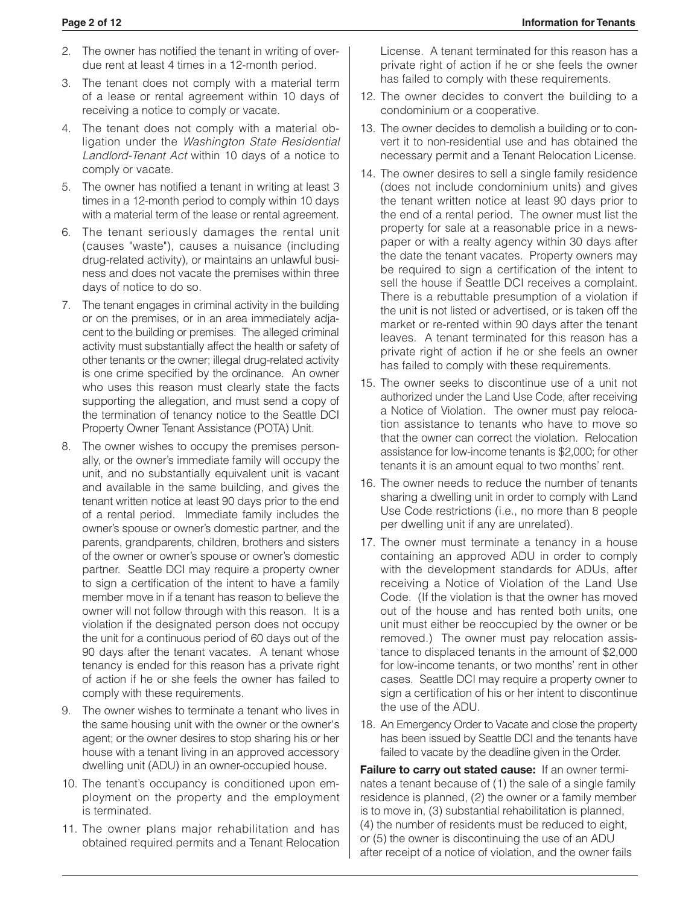- 2. The owner has notified the tenant in writing of overdue rent at least 4 times in a 12-month period.
- 3. The tenant does not comply with a material term of a lease or rental agreement within 10 days of receiving a notice to comply or vacate.
- 4. The tenant does not comply with a material obligation under the *Washington State Residential Landlord-Tenant Act* within 10 days of a notice to comply or vacate.
- 5. The owner has notified a tenant in writing at least 3 times in a 12-month period to comply within 10 days with a material term of the lease or rental agreement.
- 6. The tenant seriously damages the rental unit (causes "waste"), causes a nuisance (including drug-related activity), or maintains an unlawful business and does not vacate the premises within three days of notice to do so.
- 7. The tenant engages in criminal activity in the building or on the premises, or in an area immediately adjacent to the building or premises. The alleged criminal activity must substantially affect the health or safety of other tenants or the owner; illegal drug-related activity is one crime specified by the ordinance. An owner who uses this reason must clearly state the facts supporting the allegation, and must send a copy of the termination of tenancy notice to the Seattle DCI Property Owner Tenant Assistance (POTA) Unit.
- 8. The owner wishes to occupy the premises personally, or the owner's immediate family will occupy the unit, and no substantially equivalent unit is vacant and available in the same building, and gives the tenant written notice at least 90 days prior to the end of a rental period. Immediate family includes the owner's spouse or owner's domestic partner, and the parents, grandparents, children, brothers and sisters of the owner or owner's spouse or owner's domestic partner. Seattle DCI may require a property owner to sign a certification of the intent to have a family member move in if a tenant has reason to believe the owner will not follow through with this reason. It is a violation if the designated person does not occupy the unit for a continuous period of 60 days out of the 90 days after the tenant vacates. A tenant whose tenancy is ended for this reason has a private right of action if he or she feels the owner has failed to comply with these requirements.
- 9. The owner wishes to terminate a tenant who lives in the same housing unit with the owner or the owner's agent; or the owner desires to stop sharing his or her house with a tenant living in an approved accessory dwelling unit (ADU) in an owner-occupied house.
- 10. The tenant's occupancy is conditioned upon employment on the property and the employment is terminated.
- 11. The owner plans major rehabilitation and has obtained required permits and a Tenant Relocation

License. A tenant terminated for this reason has a private right of action if he or she feels the owner has failed to comply with these requirements.

- 12. The owner decides to convert the building to a condominium or a cooperative.
- 13. The owner decides to demolish a building or to convert it to non-residential use and has obtained the necessary permit and a Tenant Relocation License.
- 14. The owner desires to sell a single family residence (does not include condominium units) and gives the tenant written notice at least 90 days prior to the end of a rental period. The owner must list the property for sale at a reasonable price in a newspaper or with a realty agency within 30 days after the date the tenant vacates. Property owners may be required to sign a certification of the intent to sell the house if Seattle DCI receives a complaint. There is a rebuttable presumption of a violation if the unit is not listed or advertised, or is taken off the market or re-rented within 90 days after the tenant leaves. A tenant terminated for this reason has a private right of action if he or she feels an owner has failed to comply with these requirements.
- 15. The owner seeks to discontinue use of a unit not authorized under the Land Use Code, after receiving a Notice of Violation. The owner must pay relocation assistance to tenants who have to move so that the owner can correct the violation. Relocation assistance for low-income tenants is \$2,000; for other tenants it is an amount equal to two months' rent.
- 16. The owner needs to reduce the number of tenants sharing a dwelling unit in order to comply with Land Use Code restrictions (i.e., no more than 8 people per dwelling unit if any are unrelated).
- 17. The owner must terminate a tenancy in a house containing an approved ADU in order to comply with the development standards for ADUs, after receiving a Notice of Violation of the Land Use Code. (If the violation is that the owner has moved out of the house and has rented both units, one unit must either be reoccupied by the owner or be removed.) The owner must pay relocation assistance to displaced tenants in the amount of \$2,000 for low-income tenants, or two months' rent in other cases. Seattle DCI may require a property owner to sign a certification of his or her intent to discontinue the use of the ADU.
- 18. An Emergency Order to Vacate and close the property has been issued by Seattle DCI and the tenants have failed to vacate by the deadline given in the Order.

**Failure to carry out stated cause:** If an owner terminates a tenant because of (1) the sale of a single family residence is planned, (2) the owner or a family member is to move in, (3) substantial rehabilitation is planned, (4) the number of residents must be reduced to eight, or (5) the owner is discontinuing the use of an ADU after receipt of a notice of violation, and the owner fails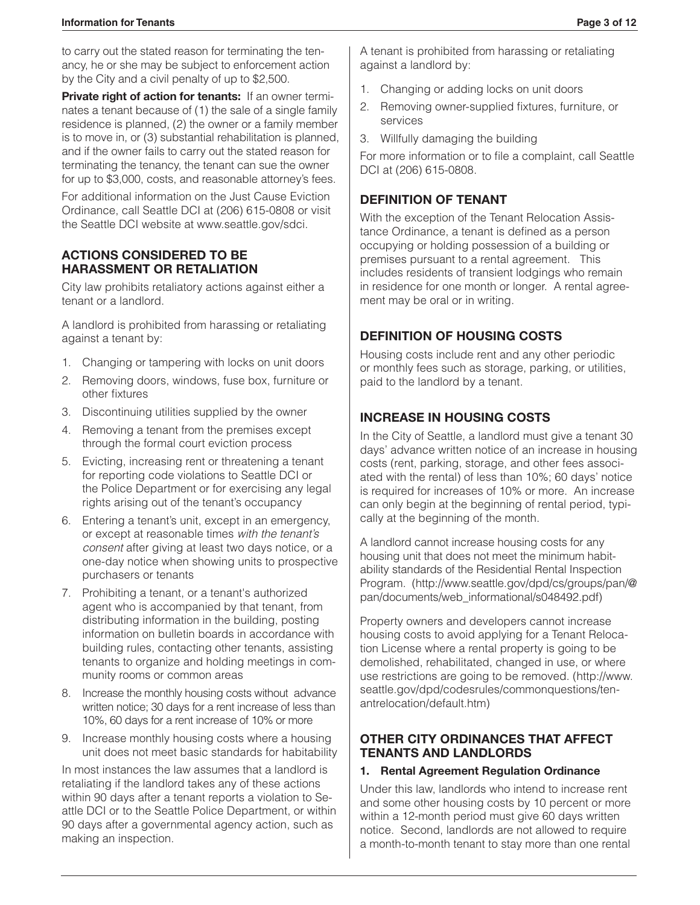#### **Information for Tenants Page 3 of 12**

to carry out the stated reason for terminating the tenancy, he or she may be subject to enforcement action by the City and a civil penalty of up to \$2,500.

**Private right of action for tenants:** If an owner terminates a tenant because of (1) the sale of a single family residence is planned, (2) the owner or a family member is to move in, or (3) substantial rehabilitation is planned, and if the owner fails to carry out the stated reason for terminating the tenancy, the tenant can sue the owner for up to \$3,000, costs, and reasonable attorney's fees.

For additional information on the Just Cause Eviction Ordinance, call Seattle DCI at (206) 615-0808 or visit the Seattle DCI website at www.seattle.gov/sdci.

#### **ACTIONS CONSIDERED TO BE HARASSMENT OR RETALIATION**

City law prohibits retaliatory actions against either a tenant or a landlord.

A landlord is prohibited from harassing or retaliating against a tenant by:

- 1. Changing or tampering with locks on unit doors
- 2. Removing doors, windows, fuse box, furniture or other fixtures
- 3. Discontinuing utilities supplied by the owner
- 4. Removing a tenant from the premises except through the formal court eviction process
- 5. Evicting, increasing rent or threatening a tenant for reporting code violations to Seattle DCI or the Police Department or for exercising any legal rights arising out of the tenant's occupancy
- 6. Entering a tenant's unit, except in an emergency, or except at reasonable times *with the tenant's consent* after giving at least two days notice, or a one-day notice when showing units to prospective purchasers or tenants
- 7. Prohibiting a tenant, or a tenant's authorized agent who is accompanied by that tenant, from distributing information in the building, posting information on bulletin boards in accordance with building rules, contacting other tenants, assisting tenants to organize and holding meetings in community rooms or common areas
- 8. Increase the monthly housing costs without advance written notice; 30 days for a rent increase of less than 10%, 60 days for a rent increase of 10% or more
- 9. Increase monthly housing costs where a housing unit does not meet basic standards for habitability

In most instances the law assumes that a landlord is retaliating if the landlord takes any of these actions within 90 days after a tenant reports a violation to Seattle DCI or to the Seattle Police Department, or within 90 days after a governmental agency action, such as making an inspection.

A tenant is prohibited from harassing or retaliating against a landlord by:

- 1. Changing or adding locks on unit doors
- 2. Removing owner-supplied fixtures, furniture, or services
- 3. Willfully damaging the building

For more information or to file a complaint, call Seattle DCI at (206) 615-0808.

# **DEFINITION OF TENANT**

With the exception of the Tenant Relocation Assistance Ordinance, a tenant is defined as a person occupying or holding possession of a building or premises pursuant to a rental agreement. This includes residents of transient lodgings who remain in residence for one month or longer. A rental agreement may be oral or in writing.

# **DEFINITION OF HOUSING COSTS**

Housing costs include rent and any other periodic or monthly fees such as storage, parking, or utilities, paid to the landlord by a tenant.

### **INCREASE IN HOUSING COSTS**

In the City of Seattle, a landlord must give a tenant 30 days' advance written notice of an increase in housing costs (rent, parking, storage, and other fees associated with the rental) of less than 10%; 60 days' notice is required for increases of 10% or more. An increase can only begin at the beginning of rental period, typically at the beginning of the month.

A landlord cannot increase housing costs for any housing unit that does not meet the minimum habitability standards of the Residential Rental Inspection Program. (http://www.seattle.gov/dpd/cs/groups/pan/@ pan/documents/web\_informational/s048492.pdf)

Property owners and developers cannot increase housing costs to avoid applying for a Tenant Relocation License where a rental property is going to be demolished, rehabilitated, changed in use, or where use restrictions are going to be removed. (http://www. seattle.gov/dpd/codesrules/commonquestions/tenantrelocation/default.htm)

#### **OTHER CITY ORDINANCES THAT AFFECT TENANTS AND LANDLORDS**

#### **1. Rental Agreement Regulation Ordinance**

Under this law, landlords who intend to increase rent and some other housing costs by 10 percent or more within a 12-month period must give 60 days written notice. Second, landlords are not allowed to require a month-to-month tenant to stay more than one rental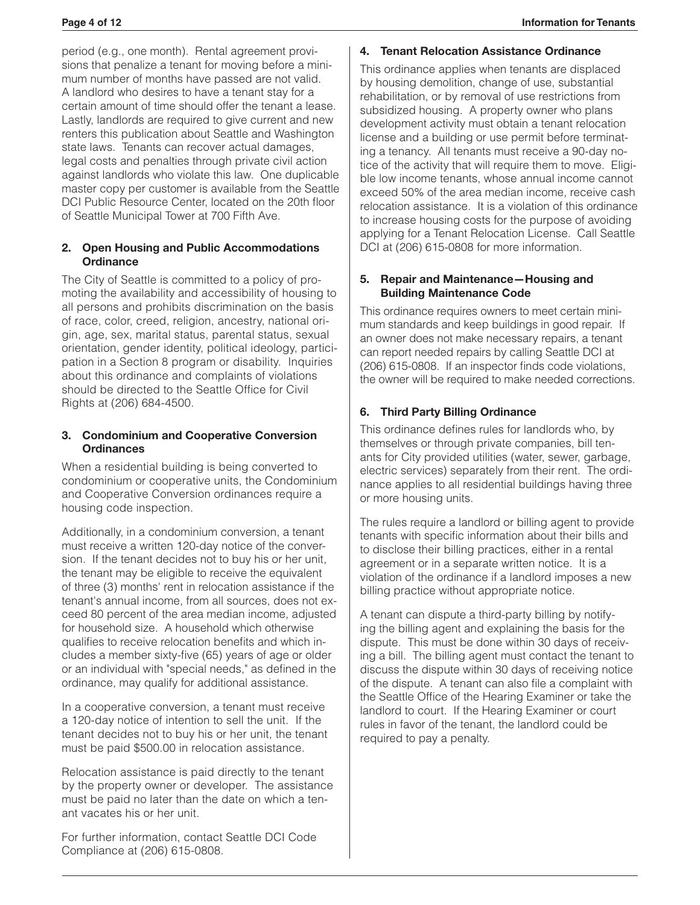period (e.g., one month). Rental agreement provisions that penalize a tenant for moving before a minimum number of months have passed are not valid. A landlord who desires to have a tenant stay for a certain amount of time should offer the tenant a lease. Lastly, landlords are required to give current and new renters this publication about Seattle and Washington state laws. Tenants can recover actual damages, legal costs and penalties through private civil action against landlords who violate this law. One duplicable master copy per customer is available from the Seattle DCI Public Resource Center, located on the 20th floor of Seattle Municipal Tower at 700 Fifth Ave.

#### **2. Open Housing and Public Accommodations Ordinance**

The City of Seattle is committed to a policy of promoting the availability and accessibility of housing to all persons and prohibits discrimination on the basis of race, color, creed, religion, ancestry, national origin, age, sex, marital status, parental status, sexual orientation, gender identity, political ideology, participation in a Section 8 program or disability. Inquiries about this ordinance and complaints of violations should be directed to the Seattle Office for Civil Rights at (206) 684-4500.

#### **3. Condominium and Cooperative Conversion Ordinances**

When a residential building is being converted to condominium or cooperative units, the Condominium and Cooperative Conversion ordinances require a housing code inspection.

Additionally, in a condominium conversion, a tenant must receive a written 120-day notice of the conversion. If the tenant decides not to buy his or her unit, the tenant may be eligible to receive the equivalent of three (3) months' rent in relocation assistance if the tenant's annual income, from all sources, does not exceed 80 percent of the area median income, adjusted for household size. A household which otherwise qualifies to receive relocation benefits and which includes a member sixty-five (65) years of age or older or an individual with "special needs," as defined in the ordinance, may qualify for additional assistance.

In a cooperative conversion, a tenant must receive a 120-day notice of intention to sell the unit. If the tenant decides not to buy his or her unit, the tenant must be paid \$500.00 in relocation assistance.

Relocation assistance is paid directly to the tenant by the property owner or developer. The assistance must be paid no later than the date on which a tenant vacates his or her unit.

For further information, contact Seattle DCI Code Compliance at (206) 615-0808.

#### **4. Tenant Relocation Assistance Ordinance**

This ordinance applies when tenants are displaced by housing demolition, change of use, substantial rehabilitation, or by removal of use restrictions from subsidized housing. A property owner who plans development activity must obtain a tenant relocation license and a building or use permit before terminating a tenancy. All tenants must receive a 90-day notice of the activity that will require them to move. Eligible low income tenants, whose annual income cannot exceed 50% of the area median income, receive cash relocation assistance. It is a violation of this ordinance to increase housing costs for the purpose of avoiding applying for a Tenant Relocation License. Call Seattle DCI at (206) 615-0808 for more information.

#### **5. Repair and Maintenance—Housing and Building Maintenance Code**

This ordinance requires owners to meet certain minimum standards and keep buildings in good repair. If an owner does not make necessary repairs, a tenant can report needed repairs by calling Seattle DCI at (206) 615-0808. If an inspector finds code violations, the owner will be required to make needed corrections.

#### **6. Third Party Billing Ordinance**

This ordinance defines rules for landlords who, by themselves or through private companies, bill tenants for City provided utilities (water, sewer, garbage, electric services) separately from their rent. The ordinance applies to all residential buildings having three or more housing units.

The rules require a landlord or billing agent to provide tenants with specific information about their bills and to disclose their billing practices, either in a rental agreement or in a separate written notice. It is a violation of the ordinance if a landlord imposes a new billing practice without appropriate notice.

A tenant can dispute a third-party billing by notifying the billing agent and explaining the basis for the dispute. This must be done within 30 days of receiving a bill. The billing agent must contact the tenant to discuss the dispute within 30 days of receiving notice of the dispute. A tenant can also file a complaint with the Seattle Office of the Hearing Examiner or take the landlord to court. If the Hearing Examiner or court rules in favor of the tenant, the landlord could be required to pay a penalty.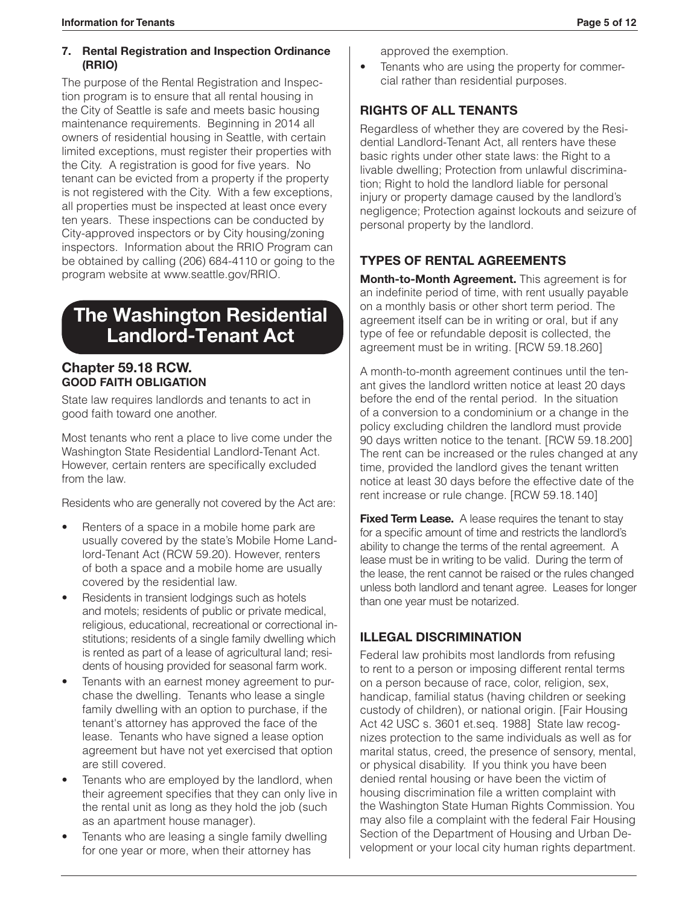#### **7. Rental Registration and Inspection Ordinance (RRIO)**

The purpose of the Rental Registration and Inspection program is to ensure that all rental housing in the City of Seattle is safe and meets basic housing maintenance requirements. Beginning in 2014 all owners of residential housing in Seattle, with certain limited exceptions, must register their properties with the City. A registration is good for five years. No tenant can be evicted from a property if the property is not registered with the City. With a few exceptions, all properties must be inspected at least once every ten years. These inspections can be conducted by City-approved inspectors or by City housing/zoning inspectors. Information about the RRIO Program can be obtained by calling (206) 684-4110 or going to the program website at www.seattle.gov/RRIO.

# **The Washington Residential Landlord-Tenant Act**

#### **Chapter 59.18 RCW. GOOD FAITH OBLIGATION**

State law requires landlords and tenants to act in good faith toward one another.

Most tenants who rent a place to live come under the Washington State Residential Landlord-Tenant Act. However, certain renters are specifically excluded from the law.

Residents who are generally not covered by the Act are:

- Renters of a space in a mobile home park are usually covered by the state's Mobile Home Landlord-Tenant Act (RCW 59.20). However, renters of both a space and a mobile home are usually covered by the residential law.
- Residents in transient lodgings such as hotels and motels; residents of public or private medical, religious, educational, recreational or correctional institutions; residents of a single family dwelling which is rented as part of a lease of agricultural land; residents of housing provided for seasonal farm work.
- Tenants with an earnest money agreement to purchase the dwelling. Tenants who lease a single family dwelling with an option to purchase, if the tenant's attorney has approved the face of the lease. Tenants who have signed a lease option agreement but have not yet exercised that option are still covered.
- Tenants who are employed by the landlord, when their agreement specifies that they can only live in the rental unit as long as they hold the job (such as an apartment house manager).
- Tenants who are leasing a single family dwelling for one year or more, when their attorney has

approved the exemption.

• Tenants who are using the property for commercial rather than residential purposes.

# **RIGHTS OF ALL TENANTS**

Regardless of whether they are covered by the Residential Landlord-Tenant Act, all renters have these basic rights under other state laws: the Right to a livable dwelling; Protection from unlawful discrimination; Right to hold the landlord liable for personal injury or property damage caused by the landlord's negligence; Protection against lockouts and seizure of personal property by the landlord.

# **TYPES OF RENTAL AGREEMENTS**

**Month-to-Month Agreement.** This agreement is for an indefinite period of time, with rent usually payable on a monthly basis or other short term period. The agreement itself can be in writing or oral, but if any type of fee or refundable deposit is collected, the agreement must be in writing. [RCW 59.18.260]

A month-to-month agreement continues until the tenant gives the landlord written notice at least 20 days before the end of the rental period. In the situation of a conversion to a condominium or a change in the policy excluding children the landlord must provide 90 days written notice to the tenant. [RCW 59.18.200] The rent can be increased or the rules changed at any time, provided the landlord gives the tenant written notice at least 30 days before the effective date of the rent increase or rule change. [RCW 59.18.140]

**Fixed Term Lease.** A lease requires the tenant to stay for a specific amount of time and restricts the landlord's ability to change the terms of the rental agreement. A lease must be in writing to be valid. During the term of the lease, the rent cannot be raised or the rules changed unless both landlord and tenant agree. Leases for longer than one year must be notarized.

# **ILLEGAL DISCRIMINATION**

Federal law prohibits most landlords from refusing to rent to a person or imposing different rental terms on a person because of race, color, religion, sex, handicap, familial status (having children or seeking custody of children), or national origin. [Fair Housing Act 42 USC s. 3601 et.seq. 1988] State law recognizes protection to the same individuals as well as for marital status, creed, the presence of sensory, mental, or physical disability. If you think you have been denied rental housing or have been the victim of housing discrimination file a written complaint with the Washington State Human Rights Commission. You may also file a complaint with the federal Fair Housing Section of the Department of Housing and Urban Development or your local city human rights department.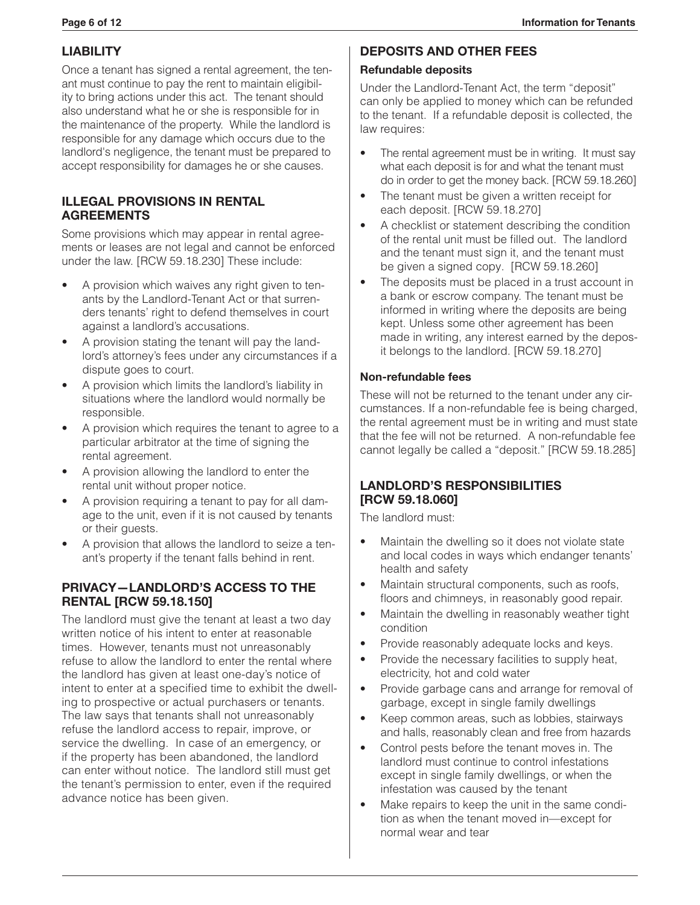# **LIABILITY**

Once a tenant has signed a rental agreement, the tenant must continue to pay the rent to maintain eligibility to bring actions under this act. The tenant should also understand what he or she is responsible for in the maintenance of the property. While the landlord is responsible for any damage which occurs due to the landlord's negligence, the tenant must be prepared to accept responsibility for damages he or she causes.

#### **ILLEGAL PROVISIONS IN RENTAL AGREEMENTS**

Some provisions which may appear in rental agreements or leases are not legal and cannot be enforced under the law. [RCW 59.18.230] These include:

- A provision which waives any right given to tenants by the Landlord-Tenant Act or that surrenders tenants' right to defend themselves in court against a landlord's accusations.
- A provision stating the tenant will pay the landlord's attorney's fees under any circumstances if a dispute goes to court.
- A provision which limits the landlord's liability in situations where the landlord would normally be responsible.
- A provision which requires the tenant to agree to a particular arbitrator at the time of signing the rental agreement.
- A provision allowing the landlord to enter the rental unit without proper notice.
- A provision requiring a tenant to pay for all damage to the unit, even if it is not caused by tenants or their guests.
- A provision that allows the landlord to seize a tenant's property if the tenant falls behind in rent.

#### **PRIVACY—LANDLORD'S ACCESS TO THE RENTAL [RCW 59.18.150]**

The landlord must give the tenant at least a two day written notice of his intent to enter at reasonable times. However, tenants must not unreasonably refuse to allow the landlord to enter the rental where the landlord has given at least one-day's notice of intent to enter at a specified time to exhibit the dwelling to prospective or actual purchasers or tenants. The law says that tenants shall not unreasonably refuse the landlord access to repair, improve, or service the dwelling. In case of an emergency, or if the property has been abandoned, the landlord can enter without notice. The landlord still must get the tenant's permission to enter, even if the required advance notice has been given.

#### **DEPOSITS AND OTHER FEES**

#### **Refundable deposits**

Under the Landlord-Tenant Act, the term "deposit" can only be applied to money which can be refunded to the tenant. If a refundable deposit is collected, the law requires:

- The rental agreement must be in writing. It must say what each deposit is for and what the tenant must do in order to get the money back. [RCW 59.18.260]
- The tenant must be given a written receipt for each deposit. [RCW 59.18.270]
- A checklist or statement describing the condition of the rental unit must be filled out. The landlord and the tenant must sign it, and the tenant must be given a signed copy. [RCW 59.18.260]
- The deposits must be placed in a trust account in a bank or escrow company. The tenant must be informed in writing where the deposits are being kept. Unless some other agreement has been made in writing, any interest earned by the deposit belongs to the landlord. [RCW 59.18.270]

#### **Non-refundable fees**

These will not be returned to the tenant under any circumstances. If a non-refundable fee is being charged, the rental agreement must be in writing and must state that the fee will not be returned. A non-refundable fee cannot legally be called a "deposit." [RCW 59.18.285]

#### **LANDLORD'S RESPONSIBILITIES [RCW 59.18.060]**

The landlord must:

- Maintain the dwelling so it does not violate state and local codes in ways which endanger tenants' health and safety
- Maintain structural components, such as roofs, floors and chimneys, in reasonably good repair.
- Maintain the dwelling in reasonably weather tight condition
- Provide reasonably adequate locks and keys.
- Provide the necessary facilities to supply heat, electricity, hot and cold water
- Provide garbage cans and arrange for removal of garbage, except in single family dwellings
- Keep common areas, such as lobbies, stairways and halls, reasonably clean and free from hazards
- Control pests before the tenant moves in. The landlord must continue to control infestations except in single family dwellings, or when the infestation was caused by the tenant
- Make repairs to keep the unit in the same condition as when the tenant moved in—except for normal wear and tear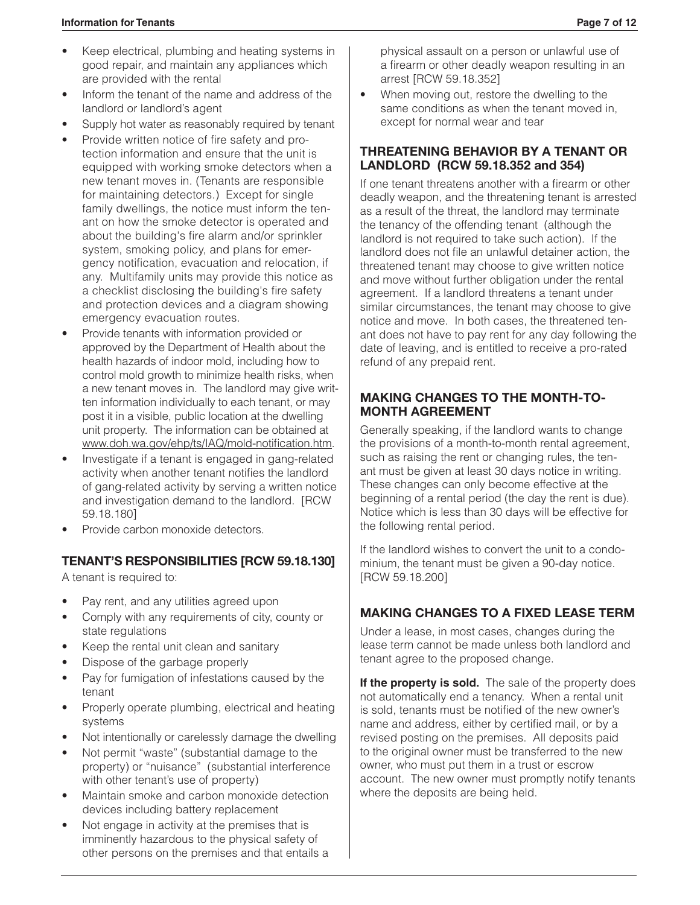- Keep electrical, plumbing and heating systems in good repair, and maintain any appliances which are provided with the rental
- Inform the tenant of the name and address of the landlord or landlord's agent
- Supply hot water as reasonably required by tenant
- Provide written notice of fire safety and protection information and ensure that the unit is equipped with working smoke detectors when a new tenant moves in. (Tenants are responsible for maintaining detectors.) Except for single family dwellings, the notice must inform the tenant on how the smoke detector is operated and about the building's fire alarm and/or sprinkler system, smoking policy, and plans for emergency notification, evacuation and relocation, if any. Multifamily units may provide this notice as a checklist disclosing the building's fire safety and protection devices and a diagram showing emergency evacuation routes.
- Provide tenants with information provided or approved by the Department of Health about the health hazards of indoor mold, including how to control mold growth to minimize health risks, when a new tenant moves in. The landlord may give written information individually to each tenant, or may post it in a visible, public location at the dwelling unit property. The information can be obtained at www.doh.wa.gov/ehp/ts/IAQ/mold-notification.htm.
- Investigate if a tenant is engaged in gang-related activity when another tenant notifies the landlord of gang-related activity by serving a written notice and investigation demand to the landlord. [RCW 59.18.180]
- Provide carbon monoxide detectors.

# **TENANT'S RESPONSIBILITIES [RCW 59.18.130]**

A tenant is required to:

- Pay rent, and any utilities agreed upon
- Comply with any requirements of city, county or state regulations
- Keep the rental unit clean and sanitary
- Dispose of the garbage properly
- Pay for fumigation of infestations caused by the tenant
- Properly operate plumbing, electrical and heating systems
- Not intentionally or carelessly damage the dwelling
- Not permit "waste" (substantial damage to the property) or "nuisance" (substantial interference with other tenant's use of property)
- Maintain smoke and carbon monoxide detection devices including battery replacement
- Not engage in activity at the premises that is imminently hazardous to the physical safety of other persons on the premises and that entails a

physical assault on a person or unlawful use of a firearm or other deadly weapon resulting in an arrest [RCW 59.18.352]

When moving out, restore the dwelling to the same conditions as when the tenant moved in, except for normal wear and tear

#### **THREATENING BEHAVIOR BY A TENANT OR LANDLORD (RCW 59.18.352 and 354)**

If one tenant threatens another with a firearm or other deadly weapon, and the threatening tenant is arrested as a result of the threat, the landlord may terminate the tenancy of the offending tenant (although the landlord is not required to take such action). If the landlord does not file an unlawful detainer action, the threatened tenant may choose to give written notice and move without further obligation under the rental agreement. If a landlord threatens a tenant under similar circumstances, the tenant may choose to give notice and move. In both cases, the threatened tenant does not have to pay rent for any day following the date of leaving, and is entitled to receive a pro-rated refund of any prepaid rent.

#### **MAKING CHANGES TO THE MONTH-TO-MONTH AGREEMENT**

Generally speaking, if the landlord wants to change the provisions of a month-to-month rental agreement, such as raising the rent or changing rules, the tenant must be given at least 30 days notice in writing. These changes can only become effective at the beginning of a rental period (the day the rent is due). Notice which is less than 30 days will be effective for the following rental period.

If the landlord wishes to convert the unit to a condominium, the tenant must be given a 90-day notice. [RCW 59.18.200]

# **MAKING CHANGES TO A FIXED LEASE TERM**

Under a lease, in most cases, changes during the lease term cannot be made unless both landlord and tenant agree to the proposed change.

If the property is sold. The sale of the property does not automatically end a tenancy. When a rental unit is sold, tenants must be notified of the new owner's name and address, either by certified mail, or by a revised posting on the premises. All deposits paid to the original owner must be transferred to the new owner, who must put them in a trust or escrow account. The new owner must promptly notify tenants where the deposits are being held.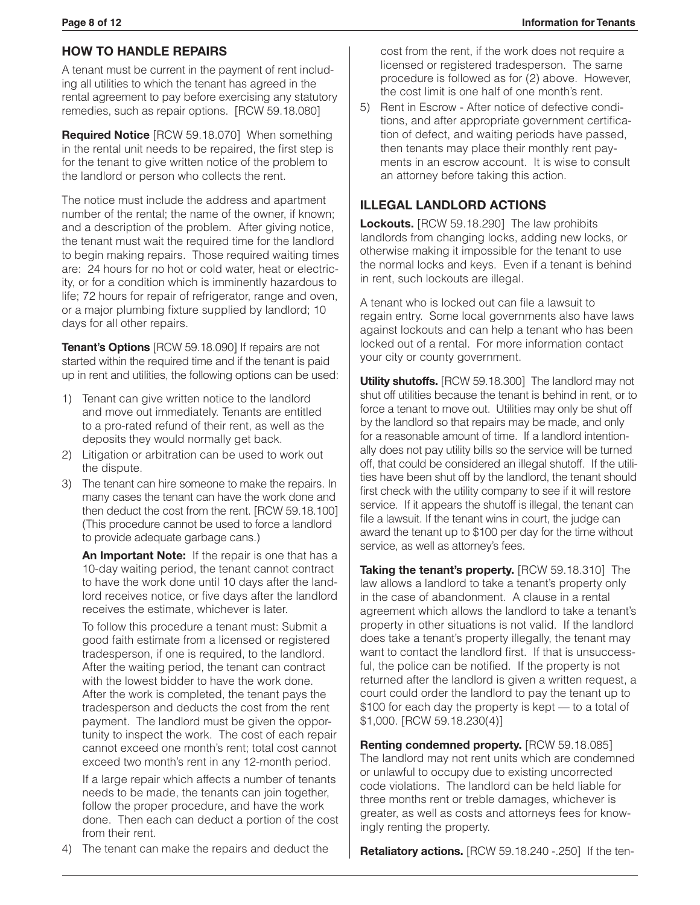#### **HOW TO HANDLE REPAIRS**

A tenant must be current in the payment of rent including all utilities to which the tenant has agreed in the rental agreement to pay before exercising any statutory remedies, such as repair options. [RCW 59.18.080]

**Required Notice** [RCW 59.18.070] When something in the rental unit needs to be repaired, the first step is for the tenant to give written notice of the problem to the landlord or person who collects the rent.

The notice must include the address and apartment number of the rental; the name of the owner, if known; and a description of the problem. After giving notice, the tenant must wait the required time for the landlord to begin making repairs. Those required waiting times are: 24 hours for no hot or cold water, heat or electricity, or for a condition which is imminently hazardous to life; 72 hours for repair of refrigerator, range and oven, or a major plumbing fixture supplied by landlord; 10 days for all other repairs.

**Tenant's Options** [RCW 59.18.090] If repairs are not started within the required time and if the tenant is paid up in rent and utilities, the following options can be used:

- 1) Tenant can give written notice to the landlord and move out immediately. Tenants are entitled to a pro-rated refund of their rent, as well as the deposits they would normally get back.
- 2) Litigation or arbitration can be used to work out the dispute.
- 3) The tenant can hire someone to make the repairs. In many cases the tenant can have the work done and then deduct the cost from the rent. [RCW 59.18.100] (This procedure cannot be used to force a landlord to provide adequate garbage cans.)

**An Important Note:** If the repair is one that has a 10-day waiting period, the tenant cannot contract to have the work done until 10 days after the landlord receives notice, or five days after the landlord receives the estimate, whichever is later.

To follow this procedure a tenant must: Submit a good faith estimate from a licensed or registered tradesperson, if one is required, to the landlord. After the waiting period, the tenant can contract with the lowest bidder to have the work done. After the work is completed, the tenant pays the tradesperson and deducts the cost from the rent payment. The landlord must be given the opportunity to inspect the work. The cost of each repair cannot exceed one month's rent; total cost cannot exceed two month's rent in any 12-month period.

If a large repair which affects a number of tenants needs to be made, the tenants can join together, follow the proper procedure, and have the work done. Then each can deduct a portion of the cost from their rent.

cost from the rent, if the work does not require a licensed or registered tradesperson. The same procedure is followed as for (2) above. However, the cost limit is one half of one month's rent.

5) Rent in Escrow - After notice of defective conditions, and after appropriate government certification of defect, and waiting periods have passed, then tenants may place their monthly rent payments in an escrow account. It is wise to consult an attorney before taking this action.

#### **ILLEGAL LANDLORD ACTIONS**

**Lockouts.** [RCW 59.18.290] The law prohibits landlords from changing locks, adding new locks, or otherwise making it impossible for the tenant to use the normal locks and keys. Even if a tenant is behind in rent, such lockouts are illegal.

A tenant who is locked out can file a lawsuit to regain entry. Some local governments also have laws against lockouts and can help a tenant who has been locked out of a rental. For more information contact your city or county government.

**Utility shutoffs.** [RCW 59.18.300] The landlord may not shut off utilities because the tenant is behind in rent, or to force a tenant to move out. Utilities may only be shut off by the landlord so that repairs may be made, and only for a reasonable amount of time. If a landlord intentionally does not pay utility bills so the service will be turned off, that could be considered an illegal shutoff. If the utilities have been shut off by the landlord, the tenant should first check with the utility company to see if it will restore service. If it appears the shutoff is illegal, the tenant can file a lawsuit. If the tenant wins in court, the judge can award the tenant up to \$100 per day for the time without service, as well as attorney's fees.

**Taking the tenant's property.** [RCW 59.18.310] The law allows a landlord to take a tenant's property only in the case of abandonment. A clause in a rental agreement which allows the landlord to take a tenant's property in other situations is not valid. If the landlord does take a tenant's property illegally, the tenant may want to contact the landlord first. If that is unsuccessful, the police can be notified. If the property is not returned after the landlord is given a written request, a court could order the landlord to pay the tenant up to \$100 for each day the property is kept — to a total of \$1,000. [RCW 59.18.230(4)]

**Renting condemned property.** [RCW 59.18.085] The landlord may not rent units which are condemned or unlawful to occupy due to existing uncorrected code violations. The landlord can be held liable for three months rent or treble damages, whichever is greater, as well as costs and attorneys fees for knowingly renting the property.

4) The tenant can make the repairs and deduct the

**Retaliatory actions.** [RCW 59.18.240 -.250] If the ten-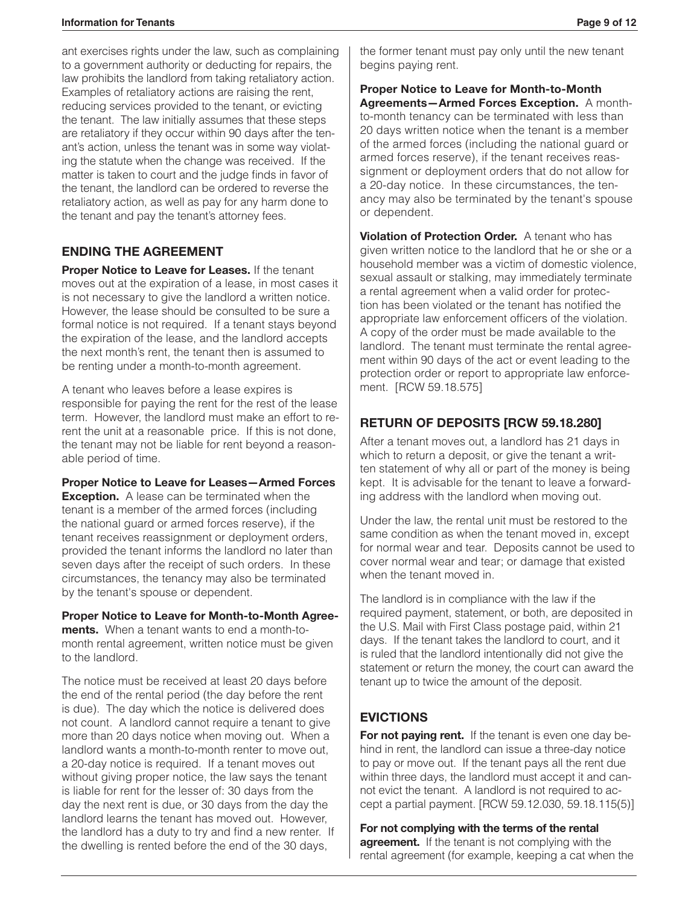#### **Information for Tenants Page 9 of 12**

ant exercises rights under the law, such as complaining to a government authority or deducting for repairs, the law prohibits the landlord from taking retaliatory action. Examples of retaliatory actions are raising the rent, reducing services provided to the tenant, or evicting the tenant. The law initially assumes that these steps are retaliatory if they occur within 90 days after the tenant's action, unless the tenant was in some way violating the statute when the change was received. If the matter is taken to court and the judge finds in favor of the tenant, the landlord can be ordered to reverse the retaliatory action, as well as pay for any harm done to the tenant and pay the tenant's attorney fees.

#### **ENDING THE AGREEMENT**

**Proper Notice to Leave for Leases.** If the tenant moves out at the expiration of a lease, in most cases it is not necessary to give the landlord a written notice. However, the lease should be consulted to be sure a formal notice is not required. If a tenant stays beyond the expiration of the lease, and the landlord accepts the next month's rent, the tenant then is assumed to be renting under a month-to-month agreement.

A tenant who leaves before a lease expires is responsible for paying the rent for the rest of the lease term. However, the landlord must make an effort to rerent the unit at a reasonable price. If this is not done, the tenant may not be liable for rent beyond a reasonable period of time.

**Proper Notice to Leave for Leases—Armed Forces Exception.** A lease can be terminated when the tenant is a member of the armed forces (including the national guard or armed forces reserve), if the tenant receives reassignment or deployment orders, provided the tenant informs the landlord no later than seven days after the receipt of such orders. In these circumstances, the tenancy may also be terminated by the tenant's spouse or dependent.

#### **Proper Notice to Leave for Month-to-Month Agree-**

**ments.** When a tenant wants to end a month-tomonth rental agreement, written notice must be given to the landlord.

The notice must be received at least 20 days before the end of the rental period (the day before the rent is due). The day which the notice is delivered does not count. A landlord cannot require a tenant to give more than 20 days notice when moving out. When a landlord wants a month-to-month renter to move out, a 20-day notice is required. If a tenant moves out without giving proper notice, the law says the tenant is liable for rent for the lesser of: 30 days from the day the next rent is due, or 30 days from the day the landlord learns the tenant has moved out. However, the landlord has a duty to try and find a new renter. If the dwelling is rented before the end of the 30 days,

the former tenant must pay only until the new tenant begins paying rent.

**Proper Notice to Leave for Month-to-Month Agreements—Armed Forces Exception.** A monthto-month tenancy can be terminated with less than 20 days written notice when the tenant is a member of the armed forces (including the national guard or armed forces reserve), if the tenant receives reassignment or deployment orders that do not allow for a 20-day notice. In these circumstances, the tenancy may also be terminated by the tenant's spouse or dependent.

**Violation of Protection Order.** A tenant who has given written notice to the landlord that he or she or a household member was a victim of domestic violence, sexual assault or stalking, may immediately terminate a rental agreement when a valid order for protection has been violated or the tenant has notified the appropriate law enforcement officers of the violation. A copy of the order must be made available to the landlord. The tenant must terminate the rental agreement within 90 days of the act or event leading to the protection order or report to appropriate law enforcement. [RCW 59.18.575]

# **RETURN OF DEPOSITS [RCW 59.18.280]**

After a tenant moves out, a landlord has 21 days in which to return a deposit, or give the tenant a written statement of why all or part of the money is being kept. It is advisable for the tenant to leave a forwarding address with the landlord when moving out.

Under the law, the rental unit must be restored to the same condition as when the tenant moved in, except for normal wear and tear. Deposits cannot be used to cover normal wear and tear; or damage that existed when the tenant moved in.

The landlord is in compliance with the law if the required payment, statement, or both, are deposited in the U.S. Mail with First Class postage paid, within 21 days. If the tenant takes the landlord to court, and it is ruled that the landlord intentionally did not give the statement or return the money, the court can award the tenant up to twice the amount of the deposit.

# **EVICTIONS**

**For not paying rent.** If the tenant is even one day behind in rent, the landlord can issue a three-day notice to pay or move out. If the tenant pays all the rent due within three days, the landlord must accept it and cannot evict the tenant. A landlord is not required to accept a partial payment. [RCW 59.12.030, 59.18.115(5)]

**For not complying with the terms of the rental agreement.** If the tenant is not complying with the rental agreement (for example, keeping a cat when the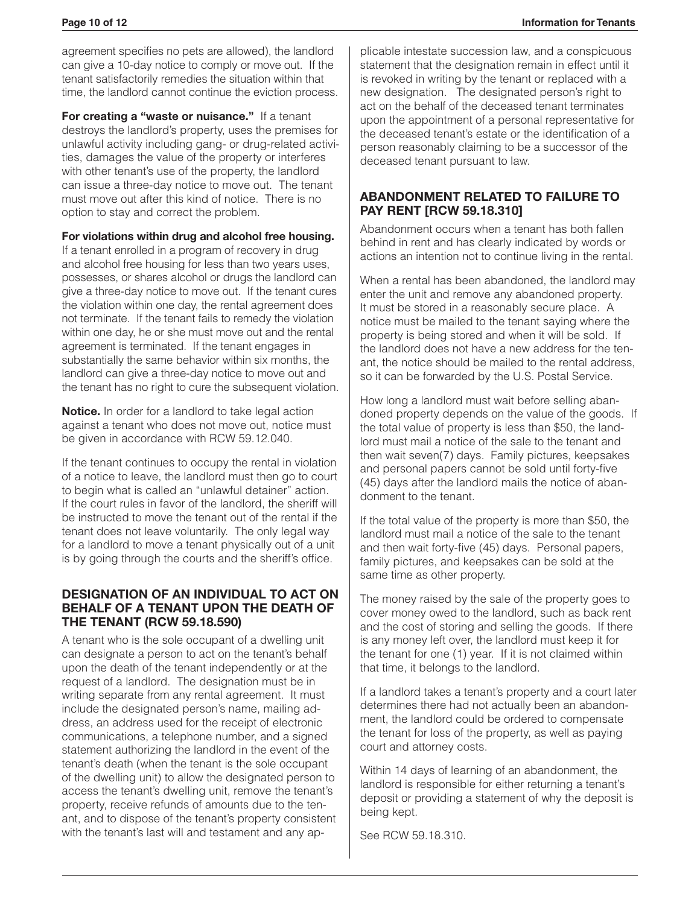agreement specifies no pets are allowed), the landlord can give a 10-day notice to comply or move out. If the tenant satisfactorily remedies the situation within that time, the landlord cannot continue the eviction process.

**For creating a "waste or nuisance."** If a tenant destroys the landlord's property, uses the premises for unlawful activity including gang- or drug-related activities, damages the value of the property or interferes with other tenant's use of the property, the landlord can issue a three-day notice to move out. The tenant must move out after this kind of notice. There is no option to stay and correct the problem.

#### **For violations within drug and alcohol free housing.**

If a tenant enrolled in a program of recovery in drug and alcohol free housing for less than two years uses, possesses, or shares alcohol or drugs the landlord can give a three-day notice to move out. If the tenant cures the violation within one day, the rental agreement does not terminate. If the tenant fails to remedy the violation within one day, he or she must move out and the rental agreement is terminated. If the tenant engages in substantially the same behavior within six months, the landlord can give a three-day notice to move out and the tenant has no right to cure the subsequent violation.

**Notice.** In order for a landlord to take legal action against a tenant who does not move out, notice must be given in accordance with RCW 59.12.040.

If the tenant continues to occupy the rental in violation of a notice to leave, the landlord must then go to court to begin what is called an "unlawful detainer" action. If the court rules in favor of the landlord, the sheriff will be instructed to move the tenant out of the rental if the tenant does not leave voluntarily. The only legal way for a landlord to move a tenant physically out of a unit is by going through the courts and the sheriff's office.

#### **DESIGNATION OF AN INDIVIDUAL TO ACT ON BEHALF OF A TENANT UPON THE DEATH OF THE TENANT (RCW 59.18.590)**

A tenant who is the sole occupant of a dwelling unit can designate a person to act on the tenant's behalf upon the death of the tenant independently or at the request of a landlord. The designation must be in writing separate from any rental agreement. It must include the designated person's name, mailing address, an address used for the receipt of electronic communications, a telephone number, and a signed statement authorizing the landlord in the event of the tenant's death (when the tenant is the sole occupant of the dwelling unit) to allow the designated person to access the tenant's dwelling unit, remove the tenant's property, receive refunds of amounts due to the tenant, and to dispose of the tenant's property consistent with the tenant's last will and testament and any applicable intestate succession law, and a conspicuous statement that the designation remain in effect until it is revoked in writing by the tenant or replaced with a new designation. The designated person's right to act on the behalf of the deceased tenant terminates upon the appointment of a personal representative for the deceased tenant's estate or the identification of a person reasonably claiming to be a successor of the deceased tenant pursuant to law.

#### **ABANDONMENT RELATED TO FAILURE TO PAY RENT [RCW 59.18.310]**

Abandonment occurs when a tenant has both fallen behind in rent and has clearly indicated by words or actions an intention not to continue living in the rental.

When a rental has been abandoned, the landlord may enter the unit and remove any abandoned property. It must be stored in a reasonably secure place. A notice must be mailed to the tenant saying where the property is being stored and when it will be sold. If the landlord does not have a new address for the tenant, the notice should be mailed to the rental address, so it can be forwarded by the U.S. Postal Service.

How long a landlord must wait before selling abandoned property depends on the value of the goods. If the total value of property is less than \$50, the landlord must mail a notice of the sale to the tenant and then wait seven(7) days. Family pictures, keepsakes and personal papers cannot be sold until forty-five (45) days after the landlord mails the notice of abandonment to the tenant.

If the total value of the property is more than \$50, the landlord must mail a notice of the sale to the tenant and then wait forty-five (45) days. Personal papers, family pictures, and keepsakes can be sold at the same time as other property.

The money raised by the sale of the property goes to cover money owed to the landlord, such as back rent and the cost of storing and selling the goods. If there is any money left over, the landlord must keep it for the tenant for one (1) year. If it is not claimed within that time, it belongs to the landlord.

If a landlord takes a tenant's property and a court later determines there had not actually been an abandonment, the landlord could be ordered to compensate the tenant for loss of the property, as well as paying court and attorney costs.

Within 14 days of learning of an abandonment, the landlord is responsible for either returning a tenant's deposit or providing a statement of why the deposit is being kept.

See RCW 59.18.310.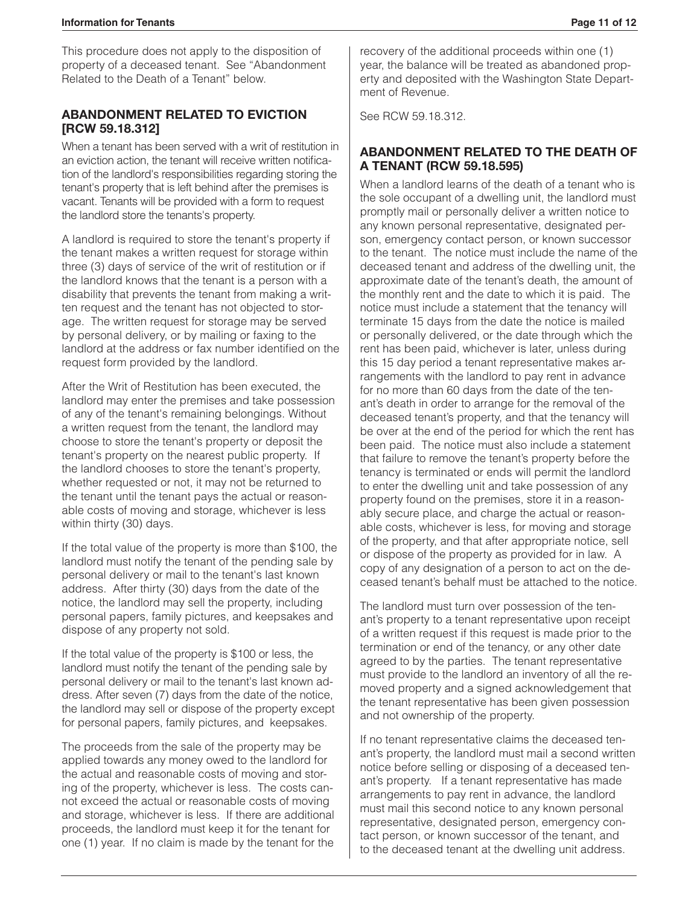This procedure does not apply to the disposition of property of a deceased tenant. See "Abandonment Related to the Death of a Tenant" below.

#### **ABANDONMENT RELATED TO EVICTION [RCW 59.18.312]**

When a tenant has been served with a writ of restitution in an eviction action, the tenant will receive written notification of the landlord's responsibilities regarding storing the tenant's property that is left behind after the premises is vacant. Tenants will be provided with a form to request the landlord store the tenants's property.

A landlord is required to store the tenant's property if the tenant makes a written request for storage within three (3) days of service of the writ of restitution or if the landlord knows that the tenant is a person with a disability that prevents the tenant from making a written request and the tenant has not objected to storage. The written request for storage may be served by personal delivery, or by mailing or faxing to the landlord at the address or fax number identified on the request form provided by the landlord.

After the Writ of Restitution has been executed, the landlord may enter the premises and take possession of any of the tenant's remaining belongings. Without a written request from the tenant, the landlord may choose to store the tenant's property or deposit the tenant's property on the nearest public property. If the landlord chooses to store the tenant's property, whether requested or not, it may not be returned to the tenant until the tenant pays the actual or reasonable costs of moving and storage, whichever is less within thirty (30) days.

If the total value of the property is more than \$100, the landlord must notify the tenant of the pending sale by personal delivery or mail to the tenant's last known address. After thirty (30) days from the date of the notice, the landlord may sell the property, including personal papers, family pictures, and keepsakes and dispose of any property not sold.

If the total value of the property is \$100 or less, the landlord must notify the tenant of the pending sale by personal delivery or mail to the tenant's last known address. After seven (7) days from the date of the notice, the landlord may sell or dispose of the property except for personal papers, family pictures, and keepsakes.

The proceeds from the sale of the property may be applied towards any money owed to the landlord for the actual and reasonable costs of moving and storing of the property, whichever is less. The costs cannot exceed the actual or reasonable costs of moving and storage, whichever is less. If there are additional proceeds, the landlord must keep it for the tenant for one (1) year. If no claim is made by the tenant for the recovery of the additional proceeds within one (1) year, the balance will be treated as abandoned property and deposited with the Washington State Department of Revenue.

See RCW 59.18.312.

#### **ABANDONMENT RELATED TO THE DEATH OF A TENANT (RCW 59.18.595)**

When a landlord learns of the death of a tenant who is the sole occupant of a dwelling unit, the landlord must promptly mail or personally deliver a written notice to any known personal representative, designated person, emergency contact person, or known successor to the tenant. The notice must include the name of the deceased tenant and address of the dwelling unit, the approximate date of the tenant's death, the amount of the monthly rent and the date to which it is paid. The notice must include a statement that the tenancy will terminate 15 days from the date the notice is mailed or personally delivered, or the date through which the rent has been paid, whichever is later, unless during this 15 day period a tenant representative makes arrangements with the landlord to pay rent in advance for no more than 60 days from the date of the tenant's death in order to arrange for the removal of the deceased tenant's property, and that the tenancy will be over at the end of the period for which the rent has been paid. The notice must also include a statement that failure to remove the tenant's property before the tenancy is terminated or ends will permit the landlord to enter the dwelling unit and take possession of any property found on the premises, store it in a reasonably secure place, and charge the actual or reasonable costs, whichever is less, for moving and storage of the property, and that after appropriate notice, sell or dispose of the property as provided for in law. A copy of any designation of a person to act on the deceased tenant's behalf must be attached to the notice.

The landlord must turn over possession of the tenant's property to a tenant representative upon receipt of a written request if this request is made prior to the termination or end of the tenancy, or any other date agreed to by the parties. The tenant representative must provide to the landlord an inventory of all the removed property and a signed acknowledgement that the tenant representative has been given possession and not ownership of the property.

If no tenant representative claims the deceased tenant's property, the landlord must mail a second written notice before selling or disposing of a deceased tenant's property. If a tenant representative has made arrangements to pay rent in advance, the landlord must mail this second notice to any known personal representative, designated person, emergency contact person, or known successor of the tenant, and to the deceased tenant at the dwelling unit address.